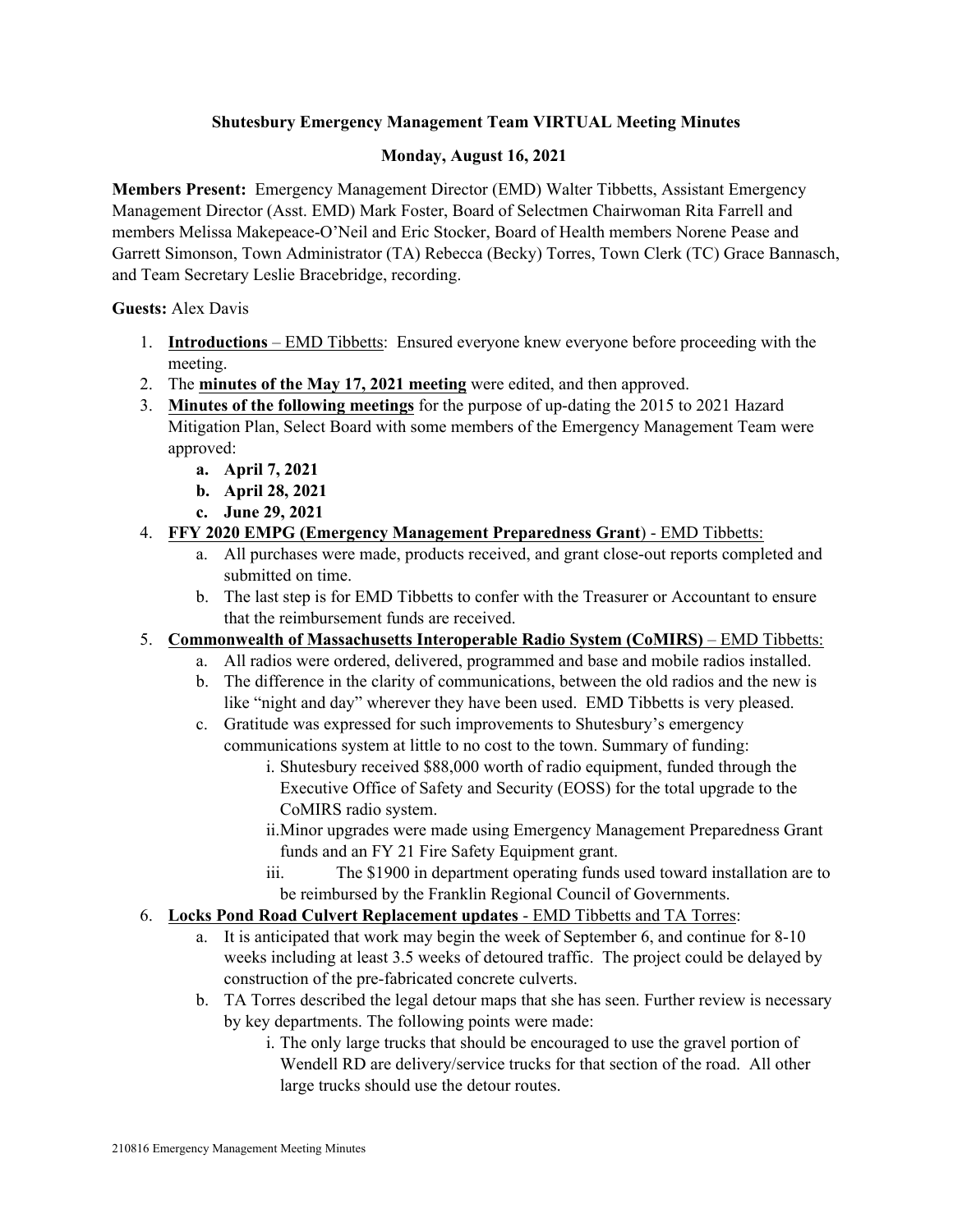# **Shutesbury Emergency Management Team VIRTUAL Meeting Minutes**

# **Monday, August 16, 2021**

**Members Present:** Emergency Management Director (EMD) Walter Tibbetts, Assistant Emergency Management Director (Asst. EMD) Mark Foster, Board of Selectmen Chairwoman Rita Farrell and members Melissa Makepeace-O'Neil and Eric Stocker, Board of Health members Norene Pease and Garrett Simonson, Town Administrator (TA) Rebecca (Becky) Torres, Town Clerk (TC) Grace Bannasch, and Team Secretary Leslie Bracebridge, recording.

**Guests:** Alex Davis

- 1. **Introductions**  EMD Tibbetts: Ensured everyone knew everyone before proceeding with the meeting.
- 2. The **minutes of the May 17, 2021 meeting** were edited, and then approved.
- 3. **Minutes of the following meetings** for the purpose of up-dating the 2015 to 2021 Hazard Mitigation Plan, Select Board with some members of the Emergency Management Team were approved:
	- **a. April 7, 2021**
	- **b. April 28, 2021**
	- **c. June 29, 2021**
- 4. **FFY 2020 EMPG (Emergency Management Preparedness Grant**) EMD Tibbetts:
	- a. All purchases were made, products received, and grant close-out reports completed and submitted on time.
	- b. The last step is for EMD Tibbetts to confer with the Treasurer or Accountant to ensure that the reimbursement funds are received.
- 5. **Commonwealth of Massachusetts Interoperable Radio System (CoMIRS)** EMD Tibbetts:
	- a. All radios were ordered, delivered, programmed and base and mobile radios installed.
	- b. The difference in the clarity of communications, between the old radios and the new is like "night and day" wherever they have been used. EMD Tibbetts is very pleased.
	- c. Gratitude was expressed for such improvements to Shutesbury's emergency communications system at little to no cost to the town. Summary of funding:
		- i. Shutesbury received \$88,000 worth of radio equipment, funded through the Executive Office of Safety and Security (EOSS) for the total upgrade to the CoMIRS radio system.
		- ii.Minor upgrades were made using Emergency Management Preparedness Grant funds and an FY 21 Fire Safety Equipment grant.
		- iii. The \$1900 in department operating funds used toward installation are to be reimbursed by the Franklin Regional Council of Governments.
- 6. **Locks Pond Road Culvert Replacement updates** EMD Tibbetts and TA Torres:
	- a. It is anticipated that work may begin the week of September 6, and continue for 8-10 weeks including at least 3.5 weeks of detoured traffic. The project could be delayed by construction of the pre-fabricated concrete culverts.
	- b. TA Torres described the legal detour maps that she has seen. Further review is necessary by key departments. The following points were made:
		- i. The only large trucks that should be encouraged to use the gravel portion of Wendell RD are delivery/service trucks for that section of the road. All other large trucks should use the detour routes.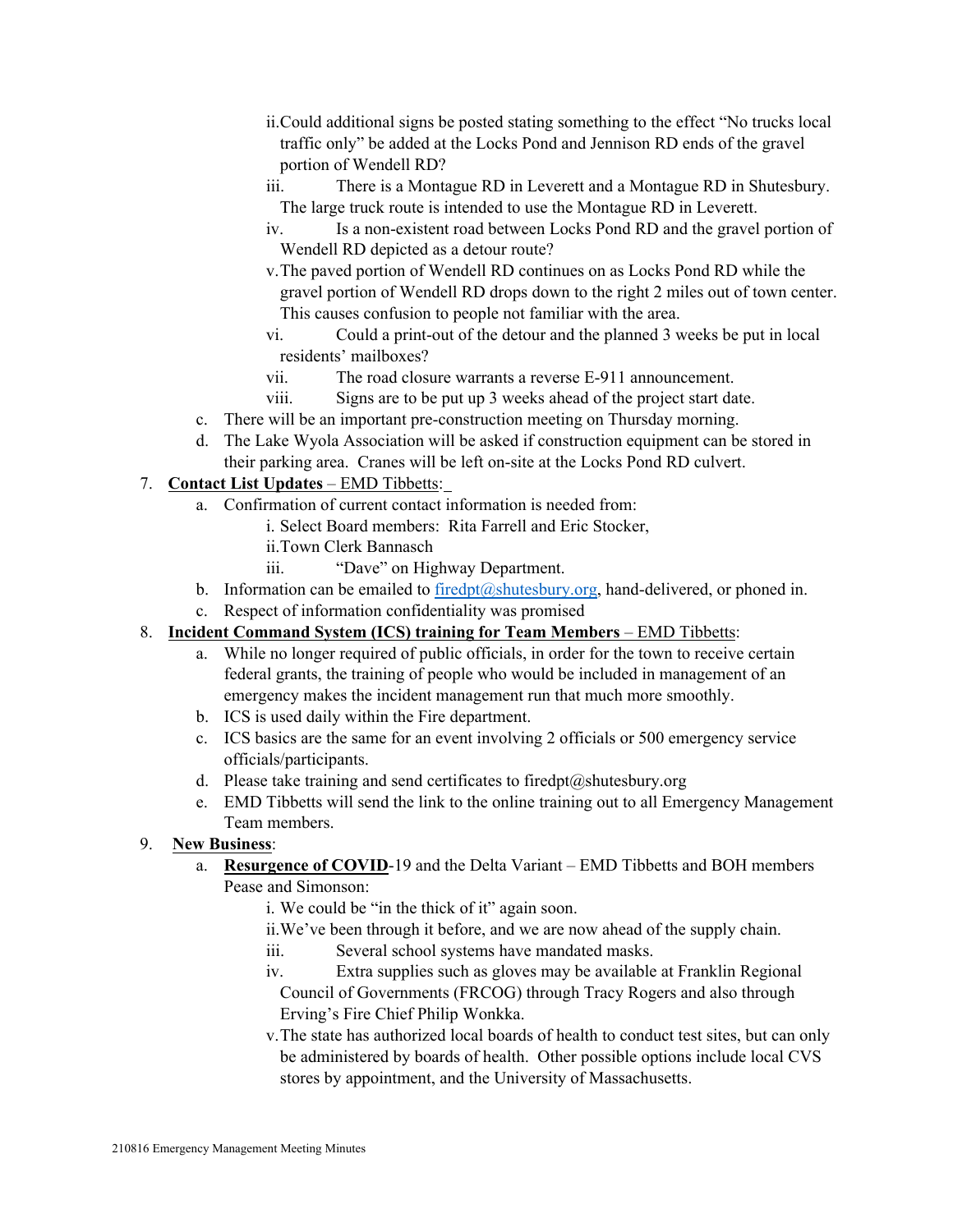- ii.Could additional signs be posted stating something to the effect "No trucks local traffic only" be added at the Locks Pond and Jennison RD ends of the gravel portion of Wendell RD?
- iii. There is a Montague RD in Leverett and a Montague RD in Shutesbury. The large truck route is intended to use the Montague RD in Leverett.
- iv. Is a non-existent road between Locks Pond RD and the gravel portion of Wendell RD depicted as a detour route?
- v.The paved portion of Wendell RD continues on as Locks Pond RD while the gravel portion of Wendell RD drops down to the right 2 miles out of town center. This causes confusion to people not familiar with the area.
- vi. Could a print-out of the detour and the planned 3 weeks be put in local residents' mailboxes?
- vii. The road closure warrants a reverse E-911 announcement.
- viii. Signs are to be put up 3 weeks ahead of the project start date.
- c. There will be an important pre-construction meeting on Thursday morning.
- d. The Lake Wyola Association will be asked if construction equipment can be stored in their parking area. Cranes will be left on-site at the Locks Pond RD culvert.

- 7. **Contact List Updates EMD Tibbetts: a.** Confirmation of current contact information is needed from:
	- i. Select Board members: Rita Farrell and Eric Stocker,
	- ii.Town Clerk Bannasch
	- iii. "Dave" on Highway Department.
	- b. Information can be emailed to firedpt@shutesbury.org, hand-delivered, or phoned in.
	- c. Respect of information confidentiality was promised

# 8. **Incident Command System (ICS) training for Team Members** – EMD Tibbetts:

- a. While no longer required of public officials, in order for the town to receive certain federal grants, the training of people who would be included in management of an emergency makes the incident management run that much more smoothly.
- b. ICS is used daily within the Fire department.
- c. ICS basics are the same for an event involving 2 officials or 500 emergency service officials/participants.
- d. Please take training and send certificates to firedpt@shutesbury.org
- e. EMD Tibbetts will send the link to the online training out to all Emergency Management Team members.
- 9. **New Business**:
	- a. **Resurgence of COVID**-19 and the Delta Variant EMD Tibbetts and BOH members Pease and Simonson:
		- i. We could be "in the thick of it" again soon.
		- ii.We've been through it before, and we are now ahead of the supply chain.
		- iii. Several school systems have mandated masks.
		- iv. Extra supplies such as gloves may be available at Franklin Regional Council of Governments (FRCOG) through Tracy Rogers and also through Erving's Fire Chief Philip Wonkka.
		- v.The state has authorized local boards of health to conduct test sites, but can only be administered by boards of health. Other possible options include local CVS stores by appointment, and the University of Massachusetts.